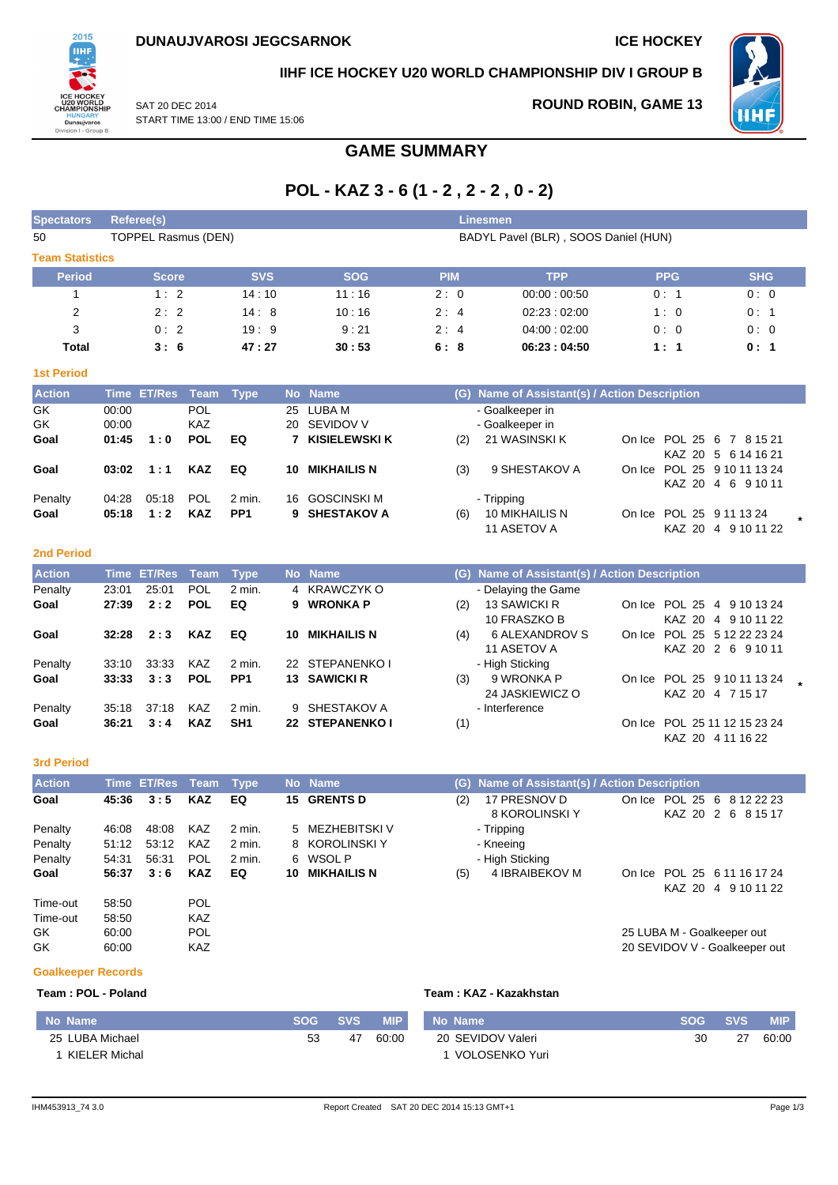

## **IIHF ICE HOCKEY U20 WORLD CHAMPIONSHIP DIV I GROUP B**

SAT 20 DEC 2014 START TIME 13:00 / END TIME 15:06

# **ROUND ROBIN, GAME 13**



**GAME SUMMARY**

# **POL - KAZ 3 - 6 (1 - 2 , 2 - 2 , 0 - 2)**

| <b>Spectators</b>      |                | <b>Linesmen</b><br><b>Referee(s)</b> |                   |                 |          |                      |            |     |                                           |        |                                |                                                     |  |
|------------------------|----------------|--------------------------------------|-------------------|-----------------|----------|----------------------|------------|-----|-------------------------------------------|--------|--------------------------------|-----------------------------------------------------|--|
| 50                     |                | TOPPEL Rasmus (DEN)                  |                   |                 |          |                      |            |     | BADYL Pavel (BLR), SOOS Daniel (HUN)      |        |                                |                                                     |  |
| <b>Team Statistics</b> |                |                                      |                   |                 |          |                      |            |     |                                           |        |                                |                                                     |  |
| <b>Period</b>          |                | <b>Score</b>                         |                   | <b>SVS</b>      |          | <b>SOG</b>           | <b>PIM</b> |     | <b>TPP</b>                                |        | <b>PPG</b>                     | <b>SHG</b>                                          |  |
|                        |                | 1:2                                  |                   | 14:10           |          | 11:16                | 2:0        |     | 00:00:00:50                               |        | 0:1                            | 0:0                                                 |  |
| 2                      |                | 2:2                                  |                   | 14:8            |          | 10:16                | 2:4        |     | 02:23:02:00                               |        | 1:0                            | 0:1                                                 |  |
| 3                      |                | 0:2                                  |                   | 19:9            |          | 9:21                 | 2:4        |     | 04:00:02:00                               |        | 0:0                            | 0:0                                                 |  |
| Total                  |                | 3:6                                  |                   | 47:27           |          | 30:53                | 6:8        |     | 06:23:04:50                               |        | 1:1                            | 0:1                                                 |  |
| <b>1st Period</b>      |                |                                      |                   |                 |          |                      |            |     |                                           |        |                                |                                                     |  |
| <b>Action</b>          | <b>Time</b>    | <b>ET/Res</b>                        | Team              | <b>Type</b>     |          | No Name              |            | (G) | Name of Assistant(s) / Action Description |        |                                |                                                     |  |
| GK<br>GK               | 00:00<br>00:00 |                                      | POL<br><b>KAZ</b> |                 | 25<br>20 | LUBA M<br>SEVIDOV V  |            |     | - Goalkeeper in<br>- Goalkeeper in        |        |                                |                                                     |  |
| Goal                   | 01:45          | 1:0                                  | <b>POL</b>        | EQ              |          | <b>KISIELEWSKI K</b> |            | (2) | 21 WASINSKI K                             | On Ice | <b>POL 25</b><br><b>KAZ 20</b> | -6<br>$\overline{7}$<br>8 15 21<br>5 6 14 16 21     |  |
| Goal                   | 03:02          | 1:1                                  | <b>KAZ</b>        | EQ              | 10       | <b>MIKHAILIS N</b>   |            | (3) | 9 SHESTAKOV A                             | On Ice | KAZ 20                         | POL 25 9 10 11 13 24<br>6 9 10 11<br>$\overline{4}$ |  |
| Penalty                | 04:28          | 05:18                                | POL               | 2 min.          | 16       | <b>GOSCINSKI M</b>   |            |     | - Tripping                                |        |                                |                                                     |  |
| Goal                   | 05:18          | 1:2                                  | <b>KAZ</b>        | PP <sub>1</sub> | 9        | <b>SHESTAKOV A</b>   |            | (6) | 10 MIKHAILIS N<br>11 ASETOV A             | On Ice | POL 25                         | 9 11 13 24<br>KAZ 20 4 9 10 11 22                   |  |

#### **2nd Period**

| <b>Action</b> |       | Time ET/Res Team |            | <b>Type</b>     |     | No Name            |     | (G) Name of Assistant(s) / Action Description |                   |                              |  |
|---------------|-------|------------------|------------|-----------------|-----|--------------------|-----|-----------------------------------------------|-------------------|------------------------------|--|
| Penalty       | 23:01 | 25:01            | <b>POL</b> | $2$ min.        |     | 4 KRAWCZYK O       |     | - Delaying the Game                           |                   |                              |  |
| Goal          | 27:39 | 2:2              | <b>POL</b> | EQ              | 9.  | <b>WRONKA P</b>    | (2) | 13 SAWICKI R                                  |                   | On Ice POL 25 4 9 10 13 24   |  |
|               |       |                  |            |                 |     |                    |     | 10 FRASZKO B                                  |                   | KAZ 20 4 9 10 11 22          |  |
| Goal          | 32:28 | 2:3              | <b>KAZ</b> | EQ              | 10. | <b>MIKHAILIS N</b> | (4) | 6 ALEXANDROV S                                |                   | On Ice POL 25 5 12 22 23 24  |  |
|               |       |                  |            |                 |     |                    |     | 11 ASETOV A                                   |                   | KAZ 20 2 6 9 10 11           |  |
| Penalty       | 33:10 | 33.33            | <b>KAZ</b> | 2 min.          |     | 22 STEPANENKO I    |     | - High Sticking                               |                   |                              |  |
| Goal          | 33:33 | 3:3              | <b>POL</b> | PP <sub>1</sub> |     | 13 SAWICKI R       | (3) | 9 WRONKA P                                    |                   | On Ice POL 25 9 10 11 13 24  |  |
|               |       |                  |            |                 |     |                    |     | 24 JASKIEWICZ O                               | KAZ 20 4 7 15 17  |                              |  |
| Penalty       | 35:18 | 37:18            | <b>KAZ</b> | 2 min.          |     | 9 SHESTAKOV A      |     | - Interference                                |                   |                              |  |
| Goal          | 36:21 | 3:4              | <b>KAZ</b> | SH <sub>1</sub> |     | 22 STEPANENKO I    | (1) |                                               |                   | On Ice POL 25 11 12 15 23 24 |  |
|               |       |                  |            |                 |     |                    |     |                                               | KAZ 20 4 11 16 22 |                              |  |

#### **3rd Period**

| <b>Action</b> |       | Time ET/Res Team Type |            |        |     | No Name            |     | (G) Name of Assistant(s) / Action Description |  |                                                  |  |
|---------------|-------|-----------------------|------------|--------|-----|--------------------|-----|-----------------------------------------------|--|--------------------------------------------------|--|
| Goal          | 45:36 | 3:5                   | <b>KAZ</b> | EQ     |     | 15 GRENTS D        | (2) | 17 PRESNOV D<br>8 KOROLINSKI Y                |  | On Ice POL 25 6 8 12 22 23<br>KAZ 20 2 6 8 15 17 |  |
| Penalty       | 46:08 | 48:08                 | KAZ        | 2 min. |     | 5 MEZHEBITSKI V    |     | - Tripping                                    |  |                                                  |  |
| Penalty       | 51:12 | 53:12                 | KAZ        | 2 min. |     | 8 KOROLINSKI Y     |     | - Kneeing                                     |  |                                                  |  |
| Penalty       | 54:31 | 56:31                 | <b>POL</b> | 2 min. |     | 6 WSOLP            |     | - High Sticking                               |  |                                                  |  |
| Goal          | 56:37 | 3:6                   | <b>KAZ</b> | EQ     | 10. | <b>MIKHAILIS N</b> | (5) | 4 IBRAIBEKOV M                                |  | On Ice POL 25 6 11 16 17 24                      |  |
|               |       |                       |            |        |     |                    |     |                                               |  | KAZ 20 4 9 10 11 22                              |  |
| Time-out      | 58.50 |                       | <b>POL</b> |        |     |                    |     |                                               |  |                                                  |  |
| Time-out      | 58:50 |                       | <b>KAZ</b> |        |     |                    |     |                                               |  |                                                  |  |
| GK.           | 60:00 |                       | <b>POL</b> |        |     |                    |     |                                               |  | 25 LUBA M - Goalkeeper out                       |  |
| GK            | 60:00 |                       | <b>KAZ</b> |        |     |                    |     |                                               |  | 20 SEVIDOV V - Goalkeeper out                    |  |

#### **Goalkeeper Records**

### **Team : POL - Poland Team : KAZ - Kazakhstan**

| No Name         | <b>SOG</b> | <b>SVS</b> | <b>MIP</b> | No Name           | <b>SOG</b> | <b>SVS</b> | <b>MIP</b> |
|-----------------|------------|------------|------------|-------------------|------------|------------|------------|
| 25 LUBA Michael | 53         | 47         | 60:00      | 20 SEVIDOV Valeri | 30         | 27         | 60:00      |
| KIELER Michal   |            |            |            | VOLOSENKO Yuri    |            |            |            |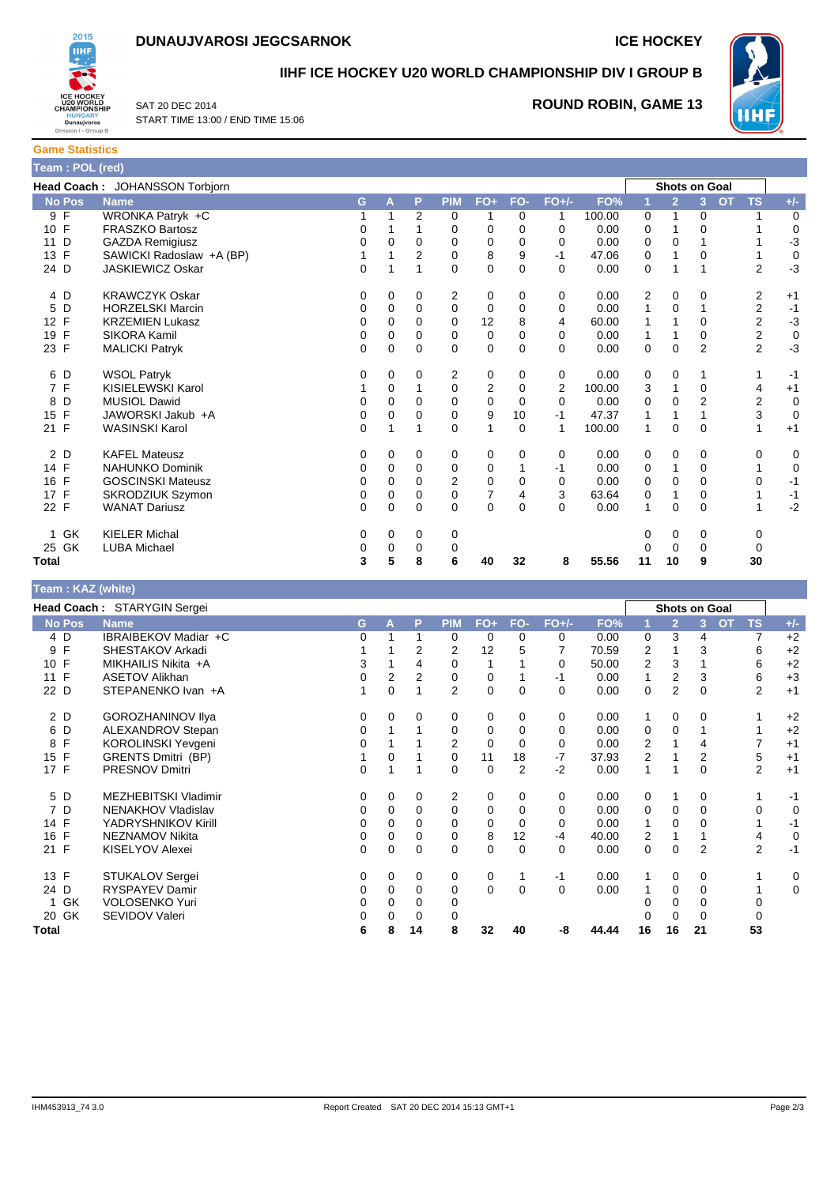



**Game Statistics**

**IIHF ICE HOCKEY U20 WORLD CHAMPIONSHIP DIV I GROUP B**



SAT 20 DEC 2014 START TIME 13:00 / END TIME 15:06

# **ROUND ROBIN, GAME 13**

| Team : POL (red)    |                                |   |          |                |            |                |             |          |        |              |                      |                |                        |             |
|---------------------|--------------------------------|---|----------|----------------|------------|----------------|-------------|----------|--------|--------------|----------------------|----------------|------------------------|-------------|
|                     | Head Coach: JOHANSSON Torbjorn |   |          |                |            |                |             |          |        |              | <b>Shots on Goal</b> |                |                        |             |
| <b>No Pos</b>       | <b>Name</b>                    | G | A        | P              | <b>PIM</b> | $FO+$          | FO-         | $FO+/-$  | FO%    |              | $\overline{2}$       | 3              | <b>TS</b><br><b>OT</b> | $+/-$       |
| 9 F                 | WRONKA Patryk +C               |   |          | $\overline{2}$ | 0          |                | 0           |          | 100.00 | $\mathbf 0$  | 1                    | 0              |                        | $\mathbf 0$ |
| 10 F                | <b>FRASZKO Bartosz</b>         | 0 |          |                | 0          | 0              | 0           | 0        | 0.00   | 0            |                      | $\Omega$       |                        | 0           |
| D<br>11             | <b>GAZDA Remigiusz</b>         | 0 | 0        | 0              | 0          | 0              | 0           | 0        | 0.00   | 0            | 0                    |                |                        | $-3$        |
| 13 F                | SAWICKI Radoslaw +A (BP)       |   |          | 2              | 0          | 8              | 9           | -1       | 47.06  | 0            |                      | $\Omega$       |                        | 0           |
| 24 D                | <b>JASKIEWICZ Oskar</b>        | 0 |          |                | 0          | 0              | 0           | $\Omega$ | 0.00   | 0            | 1                    |                | 2                      | $-3$        |
| 4 D                 | <b>KRAWCZYK Oskar</b>          | 0 | 0        | 0              | 2          | 0              | 0           | 0        | 0.00   | 2            | 0                    | $\Omega$       | 2                      | $+1$        |
| D<br>5              | <b>HORZELSKI Marcin</b>        | 0 | 0        | 0              | 0          | 0              | 0           | 0        | 0.00   | 1            | 0                    |                | $\overline{2}$         | $-1$        |
| 12 F                | <b>KRZEMIEN Lukasz</b>         | 0 | 0        | 0              | 0          | 12             | 8           | 4        | 60.00  | 1            |                      | $\Omega$       | 2                      | $-3$        |
| F<br>19             | <b>SIKORA Kamil</b>            | 0 | 0        | 0              | 0          | 0              | $\mathbf 0$ | 0        | 0.00   | $\mathbf{1}$ |                      | 0              | 2                      | $\mathbf 0$ |
| 23 F                | <b>MALICKI Patryk</b>          | 0 | $\Omega$ | $\Omega$       | $\Omega$   | 0              | $\Omega$    | 0        | 0.00   | 0            | $\mathbf 0$          | $\overline{2}$ | $\overline{2}$         | $-3$        |
| 6 D                 | <b>WSOL Patryk</b>             | 0 | 0        | 0              | 2          | 0              | 0           | 0        | 0.00   | 0            | $\mathbf 0$          | 1              |                        | $-1$        |
| F<br>$\overline{7}$ | KISIELEWSKI Karol              |   | 0        |                | 0          | 2              | 0           | 2        | 100.00 | 3            | 1                    | $\Omega$       | 4                      | $+1$        |
| D<br>8              | <b>MUSIOL Dawid</b>            | 0 | $\Omega$ | 0              | $\Omega$   | $\Omega$       | $\Omega$    | $\Omega$ | 0.00   | 0            | $\Omega$             | $\overline{2}$ | $\overline{2}$         | $\mathbf 0$ |
| F<br>15             | JAWORSKI Jakub +A              | 0 | 0        | 0              | 0          | 9              | 10          | -1       | 47.37  |              |                      |                | 3                      | $\mathbf 0$ |
| 21 F                | <b>WASINSKI Karol</b>          | 0 |          |                | 0          | 1              | $\Omega$    | 1        | 100.00 | 1            | $\Omega$             | $\Omega$       | 1                      | $+1$        |
| 2 D                 | <b>KAFEL Mateusz</b>           | 0 | 0        | 0              | 0          | 0              | 0           | 0        | 0.00   | 0            | $\mathbf 0$          | 0              | 0                      | 0           |
| 14 F                | <b>NAHUNKO Dominik</b>         | 0 | 0        | 0              | 0          | 0              |             | -1       | 0.00   | 0            |                      | $\Omega$       |                        | 0           |
| F<br>16             | <b>GOSCINSKI Mateusz</b>       | 0 | 0        | 0              | 2          | 0              | $\Omega$    | 0        | 0.00   | 0            | 0                    | $\Omega$       | 0                      | $-1$        |
| 17 F                | SKRODZIUK Szymon               | 0 | 0        | 0              | 0          | $\overline{7}$ | 4           | 3        | 63.64  | 0            | 1                    | $\Omega$       |                        | $-1$        |
| 22 F                | <b>WANAT Dariusz</b>           | 0 | 0        | 0              | $\Omega$   | 0              | $\mathbf 0$ | $\Omega$ | 0.00   | 1            | 0                    | 0              |                        | $-2$        |
| GK<br>1.            | <b>KIELER Michal</b>           | 0 | 0        | 0              | 0          |                |             |          |        | 0            | 0                    | 0              | 0                      |             |
| GK<br>25            | <b>LUBA Michael</b>            | 0 | 0        | 0              | 0          |                |             |          |        | 0            | $\Omega$             | $\Omega$       | 0                      |             |
| Total               |                                | 3 | 5        | 8              | 6          | 40             | 32          | 8        | 55.56  | 11           | 10                   | 9              | 30                     |             |

| Team : KAZ (white) |                             |          |          |          |                |             |                   |         |       |                |                      |          |           |                |             |
|--------------------|-----------------------------|----------|----------|----------|----------------|-------------|-------------------|---------|-------|----------------|----------------------|----------|-----------|----------------|-------------|
|                    | Head Coach: STARYGIN Sergei |          |          |          |                |             |                   |         |       |                | <b>Shots on Goal</b> |          |           |                |             |
| <b>No Pos</b>      | <b>Name</b>                 | G        | A        | P        | <b>PIM</b>     | $FO+$       | FO-               | $FO+/-$ | FO%   |                | $\overline{2}$       | 3        | <b>OT</b> | <b>TS</b>      | $+/-$       |
| 4 D                | IBRAIBEKOV Madiar +C        | 0        |          |          | 0              | 0           | 0                 | 0       | 0.00  | 0              | 3                    | 4        |           | $\overline{7}$ | $+2$        |
| F<br>9             | SHESTAKOV Arkadi            |          |          | 2        | 2              | 12          |                   |         | 70.59 | 2              |                      | 3        |           | 6              | $+2$        |
| 10 F               | MIKHAILIS Nikita +A         | 3        |          | 4        | 0              | 1           |                   | 0       | 50.00 | 2              | 3                    |          |           | 6              | $+2$        |
| $\mathsf{F}$<br>11 | <b>ASETOV Alikhan</b>       | 0        | 2        | 2        | 0              | 0           |                   | -1      | 0.00  |                | $\overline{2}$       | 3        |           | 6              | $+3$        |
| 22 D               | STEPANENKO Ivan +A          |          | $\Omega$ |          | $\overline{2}$ | 0           | 0                 | 0       | 0.00  | 0              | $\overline{2}$       | $\Omega$ |           | $\overline{2}$ | $+1$        |
| 2 D                | <b>GOROZHANINOV IIya</b>    | 0        | 0        | 0        | 0              | 0           | 0                 | 0       | 0.00  | 1              | 0                    | 0        |           |                | $+2$        |
| 6 D                | ALEXANDROV Stepan           | 0        |          |          | 0              | 0           | 0                 | 0       | 0.00  | 0              | 0                    |          |           |                | $+2$        |
| F<br>8             | KOROLINSKI Yevgeni          | 0        |          |          | $\overline{2}$ | $\mathbf 0$ | $\Omega$          | 0       | 0.00  | $\overline{2}$ |                      | 4        |           |                | $+1$        |
| 15 F               | <b>GRENTS Dmitri (BP)</b>   |          | 0        |          | 0              | 11          | 18                | $-7$    | 37.93 | $\overline{2}$ |                      | 2        |           | 5              | $+1$        |
| 17 F               | <b>PRESNOV Dmitri</b>       | 0        |          |          | 0              | 0           | 2                 | $-2$    | 0.00  |                |                      | 0        |           | $\overline{2}$ | $+1$        |
| 5 D                | <b>MEZHEBITSKI Vladimir</b> | 0        | $\Omega$ | 0        | $\overline{2}$ | 0           | 0                 | 0       | 0.00  | 0              | 1                    | 0        |           |                | $-1$        |
| 7 D                | NENAKHOV Vladislav          | 0        | 0        | $\Omega$ | 0              | 0           | 0                 | 0       | 0.00  | 0              | 0                    | 0        |           | $\Omega$       | 0           |
| 14 F               | YADRYSHNIKOV Kirill         | 0        | 0        | 0        | 0              | 0           | 0                 | 0       | 0.00  |                | 0                    |          |           |                | $-1$        |
| 16 F               | <b>NEZNAMOV Nikita</b>      | 0        | 0        | 0        | 0              | 8           | $12 \overline{ }$ | -4      | 40.00 | 2              | 1                    |          |           | 4              | $\mathbf 0$ |
| 21 F               | KISELYOV Alexei             | $\Omega$ | 0        | $\Omega$ | $\Omega$       | 0           | $\Omega$          | 0       | 0.00  | 0              | 0                    | 2        |           | $\overline{2}$ | $-1$        |
| 13 F               | STUKALOV Sergei             | 0        | 0        | 0        | 0              | 0           |                   | -1      | 0.00  |                | 0                    | 0        |           |                | 0           |
| 24 D               | <b>RYSPAYEV Damir</b>       | 0        | 0        | 0        | 0              | 0           | $\Omega$          | 0       | 0.00  |                | 0                    | 0        |           |                | 0           |
| GK<br>1            | VOLOSENKO Yuri              | 0        | 0        | 0        | 0              |             |                   |         |       |                | 0                    | 0        |           | 0              |             |
| 20 GK              | SEVIDOV Valeri              | 0        | 0        | 0        | 0              |             |                   |         |       |                | 0                    | $\Omega$ |           | $\Omega$       |             |
| Total              |                             | 6        | 8        | 14       | 8              | 32          | 40                | -8      | 44.44 | 16             | 16                   | 21       |           | 53             |             |